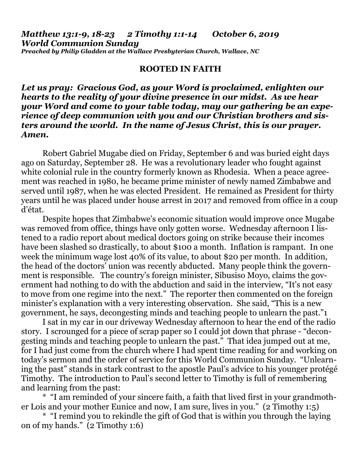## *Matthew 13:1-9, 18-23 2 Timothy 1:1-14 October 6, 2019 World Communion Sunday*

*Preached by Philip Gladden at the Wallace Presbyterian Church, Wallace, NC*

## **ROOTED IN FAITH**

*Let us pray: Gracious God, as your Word is proclaimed, enlighten our hearts to the reality of your divine presence in our midst. As we hear your Word and come to your table today, may our gathering be an experience of deep communion with you and our Christian brothers and sisters around the world. In the name of Jesus Christ, this is our prayer. Amen.*

Robert Gabriel Mugabe died on Friday, September 6 and was buried eight days ago on Saturday, September 28. He was a revolutionary leader who fought against white colonial rule in the country formerly known as Rhodesia. When a peace agreement was reached in 1980, he became prime minister of newly named Zimbabwe and served until 1987, when he was elected President. He remained as President for thirty years until he was placed under house arrest in 2017 and removed from office in a coup d'état.

Despite hopes that Zimbabwe's economic situation would improve once Mugabe was removed from office, things have only gotten worse. Wednesday afternoon I listened to a radio report about medical doctors going on strike because their incomes have been slashed so drastically, to about \$100 a month. Inflation is rampant. In one week the minimum wage lost 40% of its value, to about \$20 per month. In addition, the head of the doctors' union was recently abducted. Many people think the government is responsible. The country's foreign minister, Sibusiso Moyo, claims the government had nothing to do with the abduction and said in the interview, "It's not easy to move from one regime into the next." The reporter then commented on the foreign minister's explanation with a very interesting observation. She said, "This is a new government, he says, decongesting minds and teaching people to unlearn the past."1

I sat in my car in our driveway Wednesday afternoon to hear the end of the radio story. I scrounged for a piece of scrap paper so I could jot down that phrase - "decongesting minds and teaching people to unlearn the past." That idea jumped out at me, for I had just come from the church where I had spent time reading for and working on today's sermon and the order of service for this World Communion Sunday. "Unlearning the past" stands in stark contrast to the apostle Paul's advice to his younger protégé Timothy. The introduction to Paul's second letter to Timothy is full of remembering and learning from the past:

\* "I am reminded of your sincere faith, a faith that lived first in your grandmother Lois and your mother Eunice and now, I am sure, lives in you." (2 Timothy 1:5)

\* "I remind you to rekindle the gift of God that is within you through the laying on of my hands." (2 Timothy 1:6)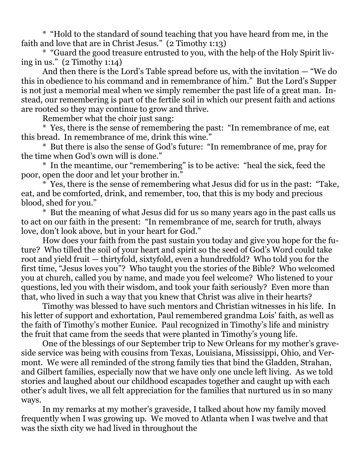\* "Hold to the standard of sound teaching that you have heard from me, in the faith and love that are in Christ Jesus." (2 Timothy 1:13)

\* "Guard the good treasure entrusted to you, with the help of the Holy Spirit living in us." (2 Timothy 1:14)

And then there is the Lord's Table spread before us, with the invitation — "We do this in obedience to his command and in remembrance of him." But the Lord's Supper is not just a memorial meal when we simply remember the past life of a great man. Instead, our remembering is part of the fertile soil in which our present faith and actions are rooted so they may continue to grow and thrive.

Remember what the choir just sang:

\* Yes, there is the sense of remembering the past: "In remembrance of me, eat this bread. In remembrance of me, drink this wine."

\* But there is also the sense of God's future: "In remembrance of me, pray for the time when God's own will is done."

\* In the meantime, our "remembering" is to be active: "heal the sick, feed the poor, open the door and let your brother in."

\* Yes, there is the sense of remembering what Jesus did for us in the past: "Take, eat, and be comforted, drink, and remember, too, that this is my body and precious blood, shed for you."

\* But the meaning of what Jesus did for us so many years ago in the past calls us to act on our faith in the present: "In remembrance of me, search for truth, always love, don't look above, but in your heart for God."

How does your faith from the past sustain you today and give you hope for the future? Who tilled the soil of your heart and spirit so the seed of God's Word could take root and yield fruit — thirtyfold, sixtyfold, even a hundredfold? Who told you for the first time, "Jesus loves you"? Who taught you the stories of the Bible? Who welcomed you at church, called you by name, and made you feel welcome? Who listened to your questions, led you with their wisdom, and took your faith seriously? Even more than that, who lived in such a way that you knew that Christ was alive in their hearts?

Timothy was blessed to have such mentors and Christian witnesses in his life. In his letter of support and exhortation, Paul remembered grandma Lois' faith, as well as the faith of Timothy's mother Eunice. Paul recognized in Timothy's life and ministry the fruit that came from the seeds that were planted in Timothy's young life.

One of the blessings of our September trip to New Orleans for my mother's graveside service was being with cousins from Texas, Louisiana, Mississippi, Ohio, and Vermont. We were all reminded of the strong family ties that bind the Gladden, Strahan, and Gilbert families, especially now that we have only one uncle left living. As we told stories and laughed about our childhood escapades together and caught up with each other's adult lives, we all felt appreciation for the families that nurtured us in so many ways.

In my remarks at my mother's graveside, I talked about how my family moved frequently when I was growing up. We moved to Atlanta when I was twelve and that was the sixth city we had lived in throughout the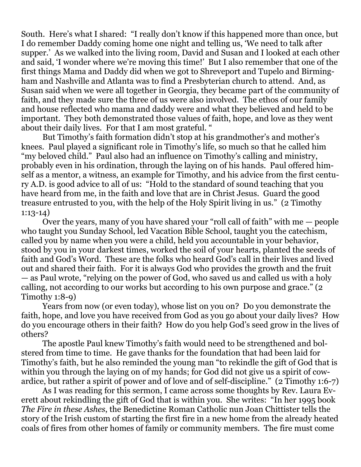South. Here's what I shared: "I really don't know if this happened more than once, but I do remember Daddy coming home one night and telling us, 'We need to talk after supper.' As we walked into the living room, David and Susan and I looked at each other and said, 'I wonder where we're moving this time!' But I also remember that one of the first things Mama and Daddy did when we got to Shreveport and Tupelo and Birmingham and Nashville and Atlanta was to find a Presbyterian church to attend. And, as Susan said when we were all together in Georgia, they became part of the community of faith, and they made sure the three of us were also involved. The ethos of our family and house reflected who mama and daddy were and what they believed and held to be important. They both demonstrated those values of faith, hope, and love as they went about their daily lives. For that I am most grateful. "

But Timothy's faith formation didn't stop at his grandmother's and mother's knees. Paul played a significant role in Timothy's life, so much so that he called him "my beloved child." Paul also had an influence on Timothy's calling and ministry, probably even in his ordination, through the laying on of his hands. Paul offered himself as a mentor, a witness, an example for Timothy, and his advice from the first century A.D. is good advice to all of us: "Hold to the standard of sound teaching that you have heard from me, in the faith and love that are in Christ Jesus. Guard the good treasure entrusted to you, with the help of the Holy Spirit living in us." (2 Timothy 1:13-14)

Over the years, many of you have shared your "roll call of faith" with me — people who taught you Sunday School, led Vacation Bible School, taught you the catechism, called you by name when you were a child, held you accountable in your behavior, stood by you in your darkest times, worked the soil of your hearts, planted the seeds of faith and God's Word. These are the folks who heard God's call in their lives and lived out and shared their faith. For it is always God who provides the growth and the fruit — as Paul wrote, "relying on the power of God, who saved us and called us with a holy calling, not according to our works but according to his own purpose and grace." (2 Timothy 1:8-9)

Years from now (or even today), whose list on you on? Do you demonstrate the faith, hope, and love you have received from God as you go about your daily lives? How do you encourage others in their faith? How do you help God's seed grow in the lives of others?

The apostle Paul knew Timothy's faith would need to be strengthened and bolstered from time to time. He gave thanks for the foundation that had been laid for Timothy's faith, but he also reminded the young man "to rekindle the gift of God that is within you through the laying on of my hands; for God did not give us a spirit of cowardice, but rather a spirit of power and of love and of self-discipline." (2 Timothy 1:6-7)

As I was reading for this sermon, I came across some thoughts by Rev. Laura Everett about rekindling the gift of God that is within you. She writes: "In her 1995 book *The Fire in these Ashes*, the Benedictine Roman Catholic nun Joan Chittister tells the story of the Irish custom of starting the first fire in a new home from the already heated coals of fires from other homes of family or community members. The fire must come